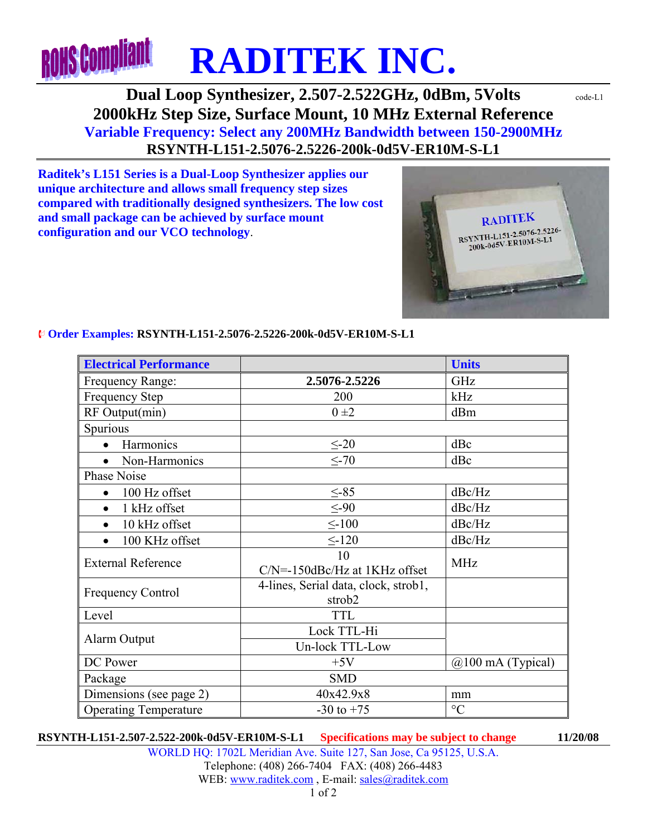

# **Dual Loop Synthesizer, 2.507-2.522GHz, 0dBm, 5Volts**  $\text{code-LL}$ **2000kHz Step Size, Surface Mount, 10 MHz External Reference Variable Frequency: Select any 200MHz Bandwidth between 150-2900MHz RSYNTH-L151-2.5076-2.5226-200k-0d5V-ER10M-S-L1**

**Raditek's L151 Series is a Dual-Loop Synthesizer applies our unique architecture and allows small frequency step sizes compared with traditionally designed synthesizers. The low cost and small package can be achieved by surface mount configuration and our VCO technology**.



### **Electrical Performance Units <b>Electrical Performance** Frequency Range: **2.5076-2.5226** GHz Frequency Step 200 kHz RF Output(min)  $0 \pm 2$  dBm Spurious • Harmonics  $\leq -20$  dBc • Non-Harmonics  $\leq -70$  dBc Phase Noise • 100 Hz offset  $\leq -85$  dBc/Hz • 1 kHz offset  $\leq -90$   $\leq$  dBc/Hz •  $10 \text{ kHz offset}$  <-100  $\text{dBc/Hz}$ •  $100 \text{ KHz}$  offset  $\leq -120$   $\text{dBc/Hz}$ External Reference 10  $C/N = -150dBc/Hz$  at 1KHz offset MHz Frequency Control 4-lines, Serial data, clock, strob1, strob2 Level TTL TTL Alarm Output Lock TTL-Hi<br>Un-lock TTL-Low  $DC Power$  +5V  $\qquad \qquad \text{(a)} 100 \text{ mA (Typical)}$ Package SMD Dimensions (see page 2)  $40x42.9x8$  mm

#### ¨ **Order Examples: RSYNTH-L151-2.5076-2.5226-200k-0d5V-ER10M-S-L1**

**RSYNTH-L151-2.507-2.522-200k-0d5V-ER10M-S-L1 Specifications may be subject to change 11/20/08** 

Operating Temperature  $\qquad \qquad$  -30 to +75  $\qquad \qquad$   $\degree$ C

WORLD HQ: 1702L Meridian Ave. Suite 127, San Jose, Ca 95125, U.S.A. Telephone: (408) 266-7404 FAX: (408) 266-4483 WEB: www.raditek.com , E-mail: sales@raditek.com